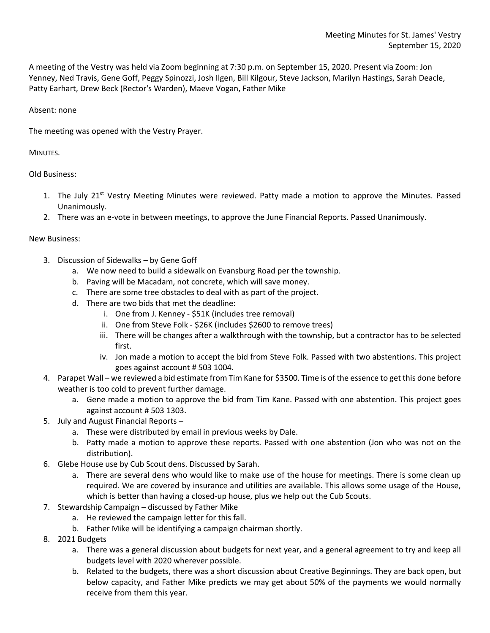A meeting of the Vestry was held via Zoom beginning at 7:30 p.m. on September 15, 2020. Present via Zoom: Jon Yenney, Ned Travis, Gene Goff, Peggy Spinozzi, Josh Ilgen, Bill Kilgour, Steve Jackson, Marilyn Hastings, Sarah Deacle, Patty Earhart, Drew Beck (Rector's Warden), Maeve Vogan, Father Mike

## Absent: none

The meeting was opened with the Vestry Prayer.

## MINUTES.

Old Business:

- 1. The July 21<sup>st</sup> Vestry Meeting Minutes were reviewed. Patty made a motion to approve the Minutes. Passed Unanimously.
- 2. There was an e-vote in between meetings, to approve the June Financial Reports. Passed Unanimously.

## New Business:

- 3. Discussion of Sidewalks by Gene Goff
	- a. We now need to build a sidewalk on Evansburg Road per the township.
	- b. Paving will be Macadam, not concrete, which will save money.
	- c. There are some tree obstacles to deal with as part of the project.
	- d. There are two bids that met the deadline:
		- i. One from J. Kenney \$51K (includes tree removal)
		- ii. One from Steve Folk \$26K (includes \$2600 to remove trees)
		- iii. There will be changes after a walkthrough with the township, but a contractor has to be selected first.
		- iv. Jon made a motion to accept the bid from Steve Folk. Passed with two abstentions. This project goes against account # 503 1004.
- 4. Parapet Wall we reviewed a bid estimate from Tim Kane for \$3500. Time is of the essence to get this done before weather is too cold to prevent further damage.
	- a. Gene made a motion to approve the bid from Tim Kane. Passed with one abstention. This project goes against account # 503 1303.
- 5. July and August Financial Reports
	- a. These were distributed by email in previous weeks by Dale.
	- b. Patty made a motion to approve these reports. Passed with one abstention (Jon who was not on the distribution).
- 6. Glebe House use by Cub Scout dens. Discussed by Sarah.
	- a. There are several dens who would like to make use of the house for meetings. There is some clean up required. We are covered by insurance and utilities are available. This allows some usage of the House, which is better than having a closed-up house, plus we help out the Cub Scouts.
- 7. Stewardship Campaign discussed by Father Mike
	- a. He reviewed the campaign letter for this fall.
	- b. Father Mike will be identifying a campaign chairman shortly.
- 8. 2021 Budgets
	- a. There was a general discussion about budgets for next year, and a general agreement to try and keep all budgets level with 2020 wherever possible.
	- b. Related to the budgets, there was a short discussion about Creative Beginnings. They are back open, but below capacity, and Father Mike predicts we may get about 50% of the payments we would normally receive from them this year.